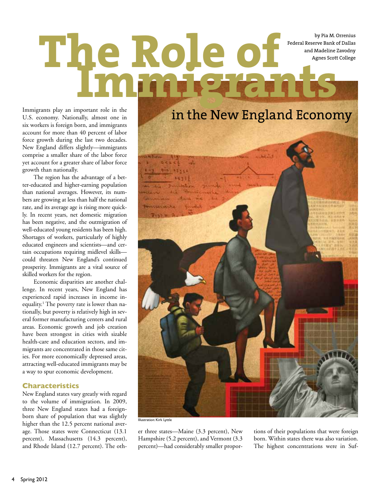by Pia M. Orrenius Federal Reserve Bank of Dallas

# by Pia M. Orrenius<br>
Role of *Dallas*<br>
Agnes Scott College<br>
Agnes Scott College **Immigrants**

Immigrants play an important role in the U.S. economy. Nationally, almost one in six workers is foreign born, and immigrants account for more than 40 percent of labor force growth during the last two decades. New England differs slightly—immigrants comprise a smaller share of the labor force yet account for a greater share of labor force growth than nationally.

The region has the advantage of a better-educated and higher-earning population than national averages. However, its numbers are growing at less than half the national rate, and its average age is rising more quickly. In recent years, net domestic migration has been negative, and the outmigration of well-educated young residents has been high. Shortages of workers, particularly of highly educated engineers and scientists—and certain occupations requiring midlevel skills could threaten New England's continued prosperity. Immigrants are a vital source of skilled workers for the region.

Economic disparities are another challenge. In recent years, New England has experienced rapid increases in income inequality.<sup>1</sup> The poverty rate is lower than nationally, but poverty is relatively high in several former manufacturing centers and rural areas. Economic growth and job creation have been strongest in cities with sizable health-care and education sectors, and immigrants are concentrated in those same cities. For more economically depressed areas, attracting well-educated immigrants may be a way to spur economic development.

# **Characteristics**

New England states vary greatly with regard to the volume of immigration. In 2009, three New England states had a foreignborn share of population that was slightly higher than the 12.5 percent national average. Those states were Connecticut (13.1 percent), Massachusetts (14.3 percent), and Rhode Island (12.7 percent). The oth-



er three states—Maine (3.3 percent), New Hampshire (5.2 percent), and Vermont (3.3 percent)—had considerably smaller proportions of their populations that were foreign born. Within states there was also variation. The highest concentrations were in Suf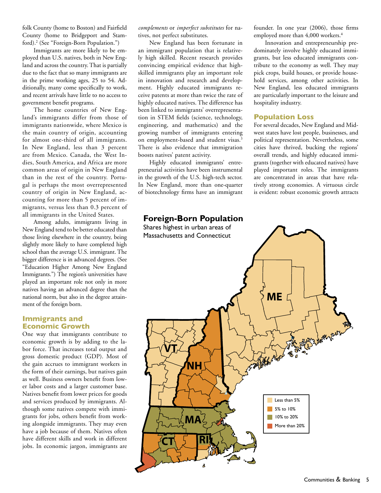folk County (home to Boston) and Fairfield County (home to Bridgeport and Stamford).<sup>2</sup> (See "Foreign-Born Population.")

Immigrants are more likely to be employed than U.S. natives, both in New England and across the country. That is partially due to the fact that so many immigrants are in the prime working ages, 25 to 54. Additionally, many come specifically to work, and recent arrivals have little to no access to government benefit programs.

The home countries of New England's immigrants differ from those of immigrants nationwide, where Mexico is the main country of origin, accounting for almost one-third of all immigrants. In New England, less than 3 percent are from Mexico. Canada, the West Indies, South America, and Africa are more common areas of origin in New England than in the rest of the country. Portugal is perhaps the most overrepresented country of origin in New England, accounting for more than 5 percent of immigrants, versus less than 0.3 percent of all immigrants in the United States.

Among adults, immigrants living in New England tend to be better educated than those living elsewhere in the country, being slightly more likely to have completed high school than the average U.S. immigrant. The bigger difference is in advanced degrees. (See "Education Higher Among New England Immigrants.") The region's universities have played an important role not only in more natives having an advanced degree than the national norm, but also in the degree attainment of the foreign born.

## **Immigrants and Economic Growth**

One way that immigrants contribute to economic growth is by adding to the labor force. That increases total output and gross domestic product (GDP). Most of the gain accrues to immigrant workers in the form of their earnings, but natives gain as well. Business owners benefit from lower labor costs and a larger customer base. Natives benefit from lower prices for goods and services produced by immigrants. Although some natives compete with immigrants for jobs, others benefit from working alongside immigrants. They may even have a job because of them. Natives often have different skills and work in different jobs. In economic jargon, immigrants are

*complements* or *imperfect substitutes* for natives, not perfect substitutes.

New England has been fortunate in an immigrant population that is relatively high skilled. Recent research provides convincing empirical evidence that highskilled immigrants play an important role in innovation and research and development. Highly educated immigrants receive patents at more than twice the rate of highly educated natives. The difference has been linked to immigrants' overrepresentation in STEM fields (science, technology, engineering, and mathematics) and the growing number of immigrants entering on employment-based and student visas.<sup>3</sup> There is also evidence that immigration boosts natives' patent activity.

Highly educated immigrants' entrepreneurial activities have been instrumental in the growth of the U.S. high-tech sector. In New England, more than one-quarter of biotechnology firms have an immigrant founder. In one year (2006), those firms employed more than 4,000 workers.<sup>4</sup>

Innovation and entrepreneurship predominately involve highly educated immigrants, but less educated immigrants contribute to the economy as well. They may pick crops, build houses, or provide household services, among other activities. In New England, less educated immigrants are particularly important to the leisure and hospitality industry.

### **Population Loss**

For several decades, New England and Midwest states have lost people, businesses, and political representation. Nevertheless, some cities have thrived, bucking the regions' overall trends, and highly educated immigrants (together with educated natives) have played important roles. The immigrants are concentrated in areas that have relatively strong economies. A virtuous circle is evident: robust economic growth attracts